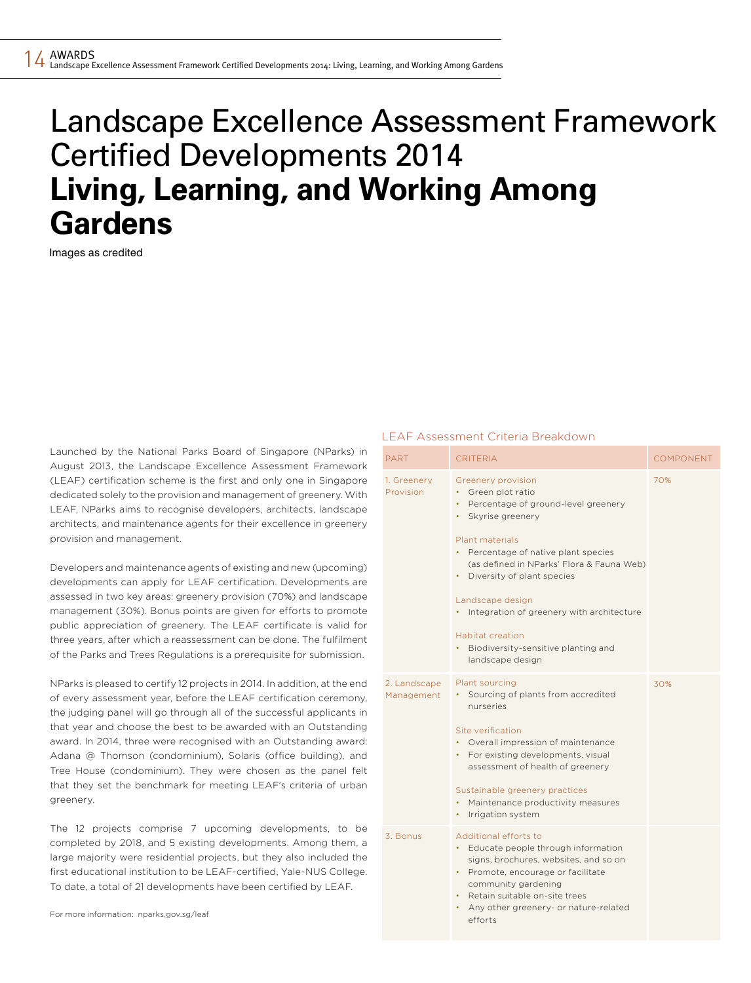# Landscape Excellence Assessment Framework Certified Developments 2014 **Living, Learning, and Working Among Gardens**

Images as credited

Launched by the National Parks Board of Singapore (NParks) in August 2013, the Landscape Excellence Assessment Framework (LEAF) certification scheme is the first and only one in Singapore dedicated solely to the provision and management of greenery. With LEAF, NParks aims to recognise developers, architects, landscape architects, and maintenance agents for their excellence in greenery provision and management.

Developers and maintenance agents of existing and new (upcoming) developments can apply for LEAF certification. Developments are assessed in two key areas: greenery provision (70%) and landscape management (30%). Bonus points are given for efforts to promote public appreciation of greenery. The LEAF certificate is valid for three years, after which a reassessment can be done. The fulfilment of the Parks and Trees Regulations is a prerequisite for submission.

NParks is pleased to certify 12 projects in 2014. In addition, at the end of every assessment year, before the LEAF certification ceremony, the judging panel will go through all of the successful applicants in that year and choose the best to be awarded with an Outstanding award. In 2014, three were recognised with an Outstanding award: Adana @ Thomson (condominium), Solaris (office building), and Tree House (condominium). They were chosen as the panel felt that they set the benchmark for meeting LEAF's criteria of urban greenery.

The 12 projects comprise 7 upcoming developments, to be completed by 2018, and 5 existing developments. Among them, a large majority were residential projects, but they also included the first educational institution to be LEAF-certified, Yale-NUS College. To date, a total of 21 developments have been certified by LEAF.

# LEAF Assessment Criteria Breakdown

| <b>PART</b>                | <b>CRITERIA</b>                                                                                                                                                                                                                                                                                                                                                                                             | <b>COMPONENT</b> |
|----------------------------|-------------------------------------------------------------------------------------------------------------------------------------------------------------------------------------------------------------------------------------------------------------------------------------------------------------------------------------------------------------------------------------------------------------|------------------|
| 1. Greenery<br>Provision   | Greenery provision<br>Green plot ratio<br>Percentage of ground-level greenery<br>۰<br>Skyrise greenery<br>۰<br>Plant materials<br>Percentage of native plant species<br>(as defined in NParks' Flora & Fauna Web)<br>Diversity of plant species<br>۰<br>Landscape design<br>Integration of greenery with architecture<br><b>Habitat creation</b><br>Biodiversity-sensitive planting and<br>landscape design | 70%              |
| 2. Landscape<br>Management | Plant sourcing<br>Sourcing of plants from accredited<br>nurseries<br>Site verification<br>Overall impression of maintenance<br>For existing developments, visual<br>۰<br>assessment of health of greenery<br>Sustainable greenery practices<br>Maintenance productivity measures<br>۰<br>Irrigation system<br>۰                                                                                             | 30%              |
| 3. Bonus                   | Additional efforts to<br>Educate people through information<br>signs, brochures, websites, and so on<br>Promote, encourage or facilitate<br>$\bullet$<br>community gardening<br>Retain suitable on-site trees<br>Any other greenery- or nature-related<br>efforts                                                                                                                                           |                  |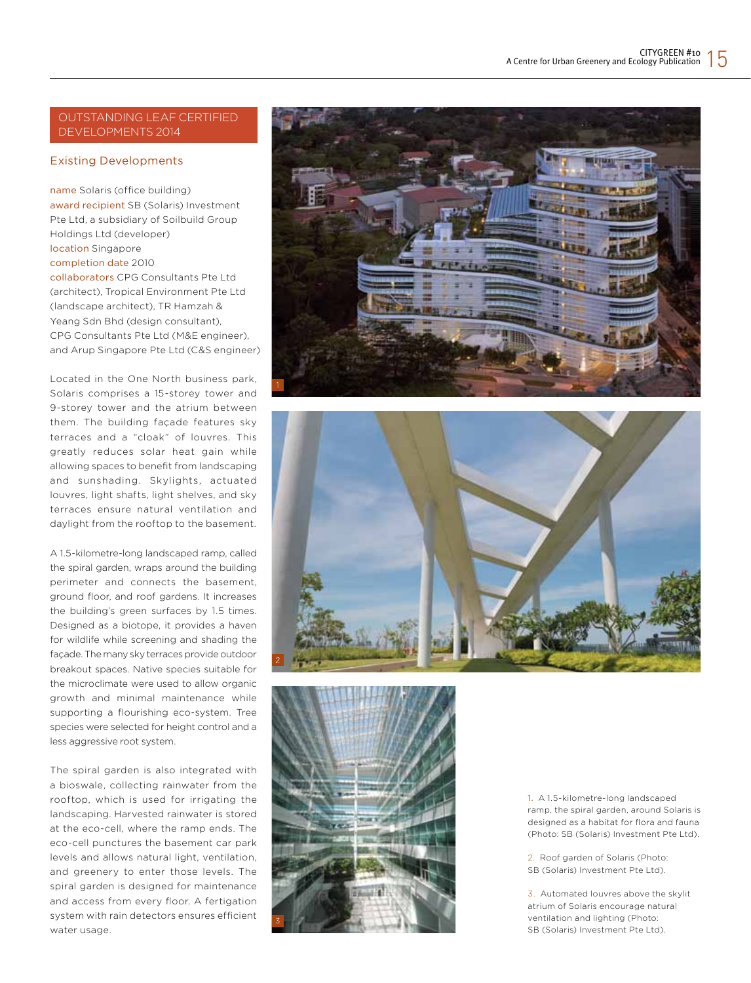# Outstanding LEAF Certified Developments 2014

# Existing Developments

name Solaris (office building) award recipient SB (Solaris) Investment Pte Ltd, a subsidiary of Soilbuild Group Holdings Ltd (developer) location Singapore completion date 2010 collaborators CPG Consultants Pte Ltd (architect), Tropical Environment Pte Ltd (landscape architect), TR Hamzah & Yeang Sdn Bhd (design consultant), CPG Consultants Pte Ltd (M&E engineer), and Arup Singapore Pte Ltd (C&S engineer)

Located in the One North business park, Solaris comprises a 15-storey tower and 9-storey tower and the atrium between them. The building façade features sky terraces and a "cloak" of louvres. This greatly reduces solar heat gain while allowing spaces to benefit from landscaping and sunshading. Skylights, actuated louvres, light shafts, light shelves, and sky terraces ensure natural ventilation and daylight from the rooftop to the basement.

A 1.5-kilometre-long landscaped ramp, called the spiral garden, wraps around the building perimeter and connects the basement, ground floor, and roof gardens. It increases the building's green surfaces by 1.5 times. Designed as a biotope, it provides a haven for wildlife while screening and shading the façade. The many sky terraces provide outdoor breakout spaces. Native species suitable for the microclimate were used to allow organic growth and minimal maintenance while supporting a flourishing eco-system. Tree species were selected for height control and a less aggressive root system.

The spiral garden is also integrated with a bioswale, collecting rainwater from the rooftop, which is used for irrigating the landscaping. Harvested rainwater is stored at the eco-cell, where the ramp ends. The eco-cell punctures the basement car park levels and allows natural light, ventilation, and greenery to enter those levels. The spiral garden is designed for maintenance and access from every floor. A fertigation system with rain detectors ensures efficient water usage.







1. A 1.5-kilometre-long landscaped ramp, the spiral garden, around Solaris is designed as a habitat for flora and fauna (Photo: SB (Solaris) Investment Pte Ltd).

2. Roof garden of Solaris (Photo: SB (Solaris) Investment Pte Ltd).

3. Automated louvres above the skylit atrium of Solaris encourage natural ventilation and lighting (Photo: SB (Solaris) Investment Pte Ltd).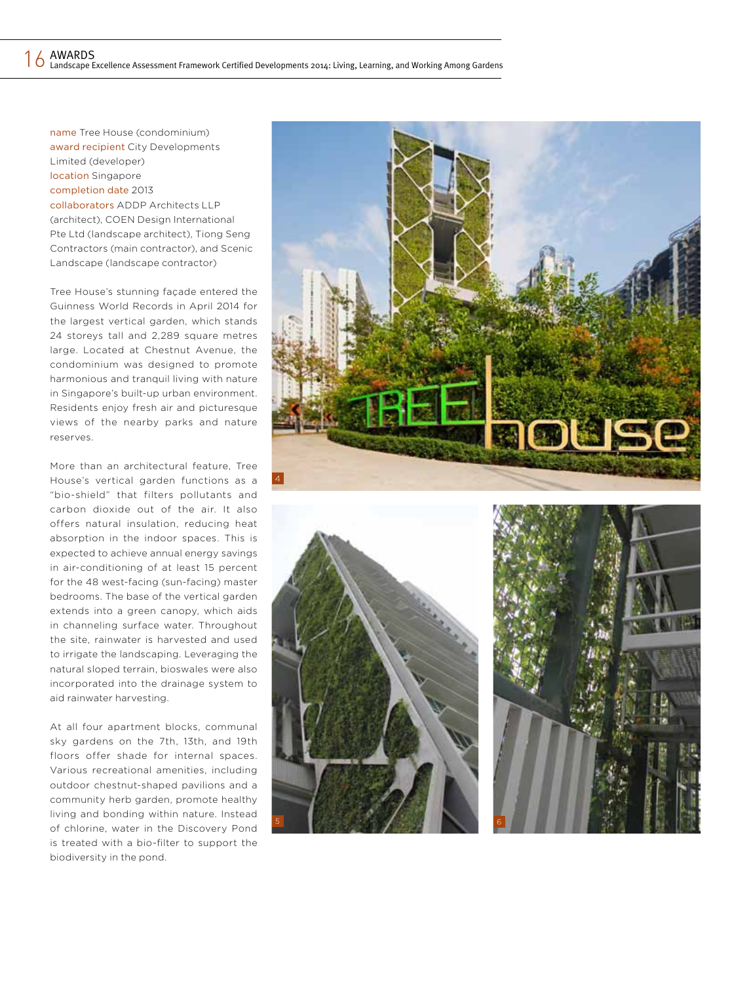name Tree House (condominium) award recipient City Developments Limited (developer) location Singapore completion date 2013 collaborators ADDP Architects LLP (architect), COEN Design International Pte Ltd (landscape architect), Tiong Seng Contractors (main contractor), and Scenic Landscape (landscape contractor)

Tree House's stunning façade entered the Guinness World Records in April 2014 for the largest vertical garden, which stands 24 storeys tall and 2,289 square metres large. Located at Chestnut Avenue, the condominium was designed to promote harmonious and tranquil living with nature in Singapore's built-up urban environment. Residents enjoy fresh air and picturesque views of the nearby parks and nature reserves.

More than an architectural feature, Tree House's vertical garden functions as a "bio-shield" that filters pollutants and carbon dioxide out of the air. It also offers natural insulation, reducing heat absorption in the indoor spaces. This is expected to achieve annual energy savings in air-conditioning of at least 15 percent for the 48 west-facing (sun-facing) master bedrooms. The base of the vertical garden extends into a green canopy, which aids in channeling surface water. Throughout the site, rainwater is harvested and used to irrigate the landscaping. Leveraging the natural sloped terrain, bioswales were also incorporated into the drainage system to aid rainwater harvesting.

At all four apartment blocks, communal sky gardens on the 7th, 13th, and 19th floors offer shade for internal spaces. Various recreational amenities, including outdoor chestnut-shaped pavilions and a community herb garden, promote healthy living and bonding within nature. Instead of chlorine, water in the Discovery Pond is treated with a bio-filter to support the biodiversity in the pond.

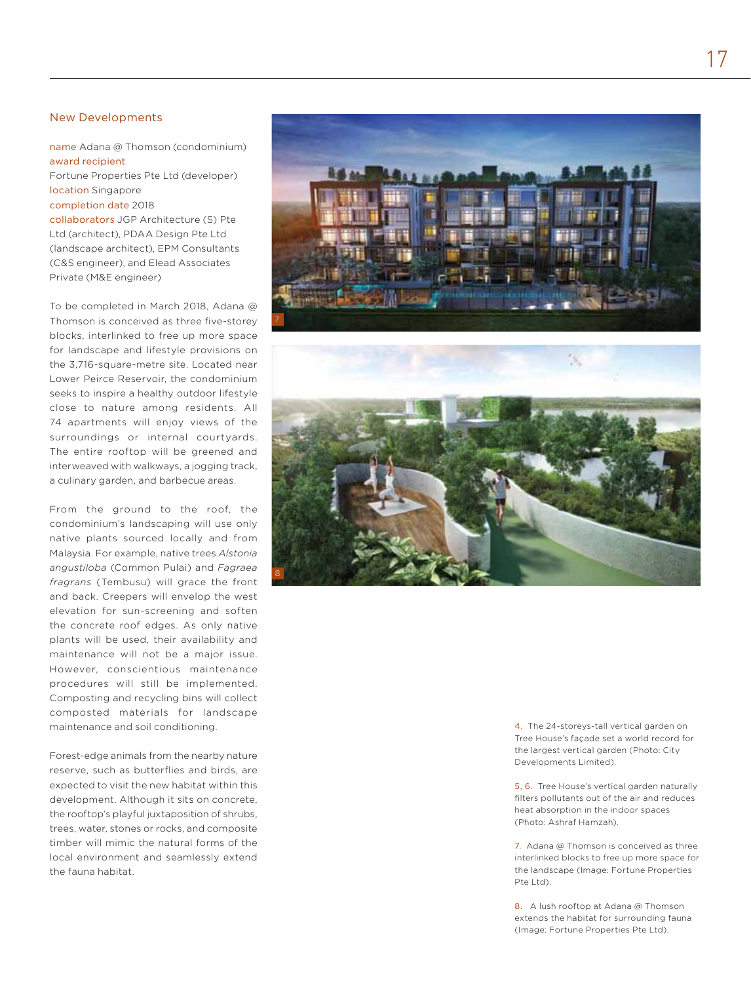# New Developments

name Adana @ Thomson (condominium) award recipient

Fortune Properties Pte Ltd (developer) location Singapore

#### completion date 2018

collaborators JGP Architecture (S) Pte Ltd (architect), PDAA Design Pte Ltd (landscape architect), EPM Consultants (C&S engineer), and Elead Associates Private (M&E engineer)

To be completed in March 2018, Adana @ Thomson is conceived as three five-storey blocks, interlinked to free up more space for landscape and lifestyle provisions on the 3,716-square-metre site. Located near Lower Peirce Reservoir, the condominium seeks to inspire a healthy outdoor lifestyle close to nature among residents. All 74 apartments will enjoy views of the surroundings or internal courtyards. The entire rooftop will be greened and interweaved with walkways, a jogging track, a culinary garden, and barbecue areas.

From the ground to the roof, the condominium's landscaping will use only native plants sourced locally and from Malaysia. For example, native trees *Alstonia angustiloba* (Common Pulai) and *Fagraea fragrans* (Tembusu) will grace the front and back. Creepers will envelop the west elevation for sun-screening and soften the concrete roof edges. As only native plants will be used, their availability and maintenance will not be a major issue. However, conscientious maintenance procedures will still be implemented. Composting and recycling bins will collect composted materials for landscape maintenance and soil conditioning.

Forest-edge animals from the nearby nature reserve, such as butterflies and birds, are expected to visit the new habitat within this development. Although it sits on concrete, the rooftop's playful juxtaposition of shrubs, trees, water, stones or rocks, and composite timber will mimic the natural forms of the local environment and seamlessly extend the fauna habitat.





4. The 24-storeys-tall vertical garden on Tree House's façade set a world record for the largest vertical garden (Photo: City Developments Limited).

5, 6. Tree House's vertical garden naturally filters pollutants out of the air and reduces heat absorption in the indoor spaces (Photo: Ashraf Hamzah).

7. Adana @ Thomson is conceived as three interlinked blocks to free up more space for the landscape (Image: Fortune Properties Pte Ltd).

8. A lush rooftop at Adana @ Thomson extends the habitat for surrounding fauna (Image: Fortune Properties Pte Ltd).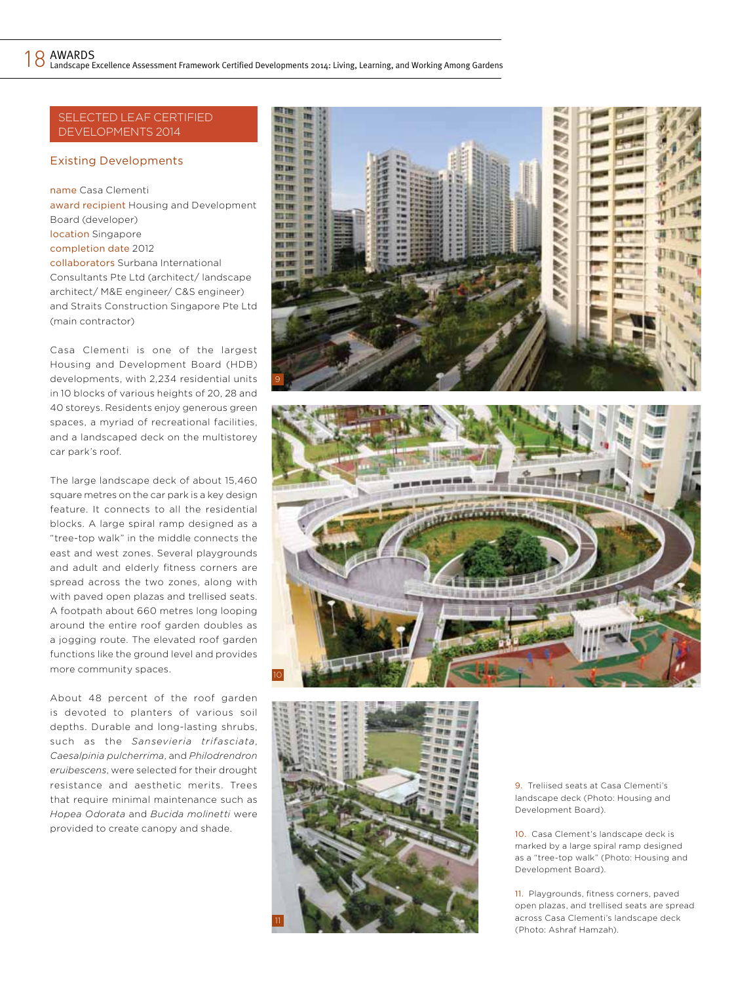# Selected LEAF Certified DEVELOPMENTS 2014

# Existing Developments

name Casa Clementi award recipient Housing and Development Board (developer) location Singapore completion date 2012 collaborators Surbana International Consultants Pte Ltd (architect/ landscape

architect/ M&E engineer/ C&S engineer) and Straits Construction Singapore Pte Ltd (main contractor)

Casa Clementi is one of the largest Housing and Development Board (HDB) developments, with 2,234 residential units in 10 blocks of various heights of 20, 28 and 40 storeys. Residents enjoy generous green spaces, a myriad of recreational facilities, and a landscaped deck on the multistorey car park's roof.

The large landscape deck of about 15,460 square metres on the car park is a key design feature. It connects to all the residential blocks. A large spiral ramp designed as a "tree-top walk" in the middle connects the east and west zones. Several playgrounds and adult and elderly fitness corners are spread across the two zones, along with with paved open plazas and trellised seats. A footpath about 660 metres long looping around the entire roof garden doubles as a jogging route. The elevated roof garden functions like the ground level and provides more community spaces.

About 48 percent of the roof garden is devoted to planters of various soil depths. Durable and long-lasting shrubs, such as the *Sansevieria trifasciata*, *Caesalpinia pulcherrima*, and *Philodrendron eruibescens*, were selected for their drought resistance and aesthetic merits. Trees that require minimal maintenance such as *Hopea Odorata* and *Bucida molinetti* were provided to create canopy and shade.







9. Treliised seats at Casa Clementi's landscape deck (Photo: Housing and Development Board).

10. Casa Clement's landscape deck is marked by a large spiral ramp designed as a "tree-top walk" (Photo: Housing and Development Board).

11. Playgrounds, fitness corners, paved open plazas, and trellised seats are spread across Casa Clementi's landscape deck (Photo: Ashraf Hamzah).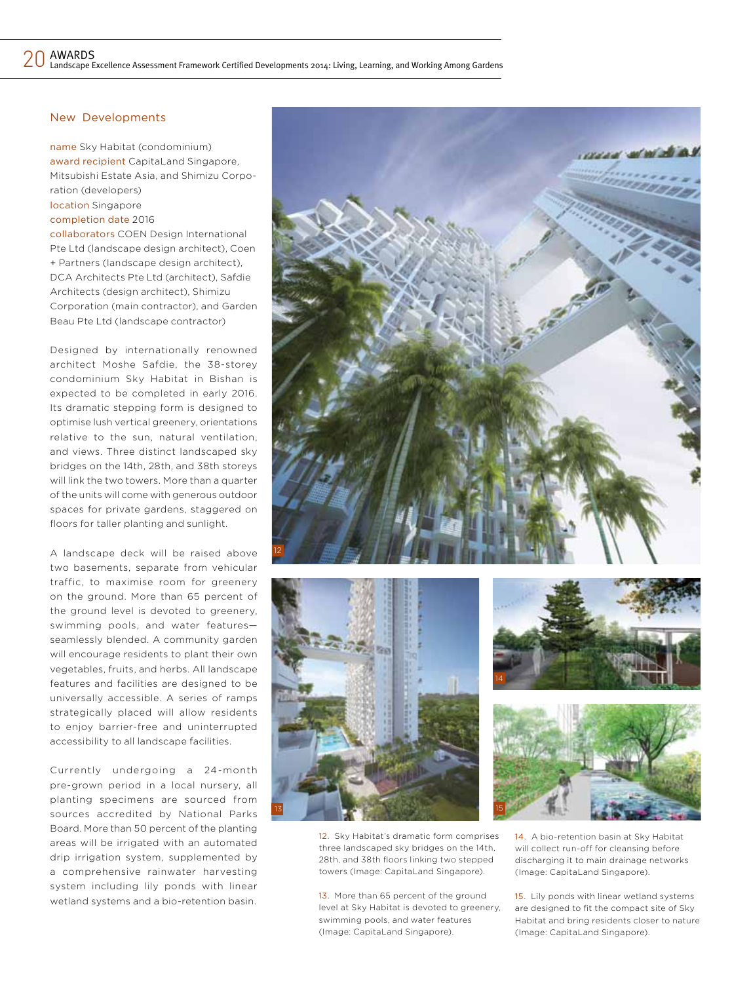# New Developments

name Sky Habitat (condominium) award recipient CapitaLand Singapore, Mitsubishi Estate Asia, and Shimizu Corporation (developers) location Singapore completion date 2016

collaborators COEN Design International Pte Ltd (landscape design architect), Coen + Partners (landscape design architect), DCA Architects Pte Ltd (architect), Safdie Architects (design architect), Shimizu Corporation (main contractor), and Garden Beau Pte Ltd (landscape contractor)

Designed by internationally renowned architect Moshe Safdie, the 38-storey condominium Sky Habitat in Bishan is expected to be completed in early 2016. Its dramatic stepping form is designed to optimise lush vertical greenery, orientations relative to the sun, natural ventilation, and views. Three distinct landscaped sky bridges on the 14th, 28th, and 38th storeys will link the two towers. More than a quarter of the units will come with generous outdoor spaces for private gardens, staggered on floors for taller planting and sunlight.

A landscape deck will be raised above two basements, separate from vehicular traffic, to maximise room for greenery on the ground. More than 65 percent of the ground level is devoted to greenery, swimming pools, and water features seamlessly blended. A community garden will encourage residents to plant their own vegetables, fruits, and herbs. All landscape features and facilities are designed to be universally accessible. A series of ramps strategically placed will allow residents to enjoy barrier-free and uninterrupted accessibility to all landscape facilities.

Currently undergoing a 24-month pre-grown period in a local nursery, all planting specimens are sourced from sources accredited by National Parks Board. More than 50 percent of the planting areas will be irrigated with an automated drip irrigation system, supplemented by a comprehensive rainwater harvesting system including lily ponds with linear wetland systems and a bio-retention basin.









12. Sky Habitat's dramatic form comprises three landscaped sky bridges on the 14th, 28th, and 38th floors linking two stepped towers (Image: CapitaLand Singapore).

13. More than 65 percent of the ground level at Sky Habitat is devoted to greenery, swimming pools, and water features (Image: CapitaLand Singapore).

14. A bio-retention basin at Sky Habitat will collect run-off for cleansing before discharging it to main drainage networks (Image: CapitaLand Singapore).

15. Lily ponds with linear wetland systems are designed to fit the compact site of Sky Habitat and bring residents closer to nature (Image: CapitaLand Singapore).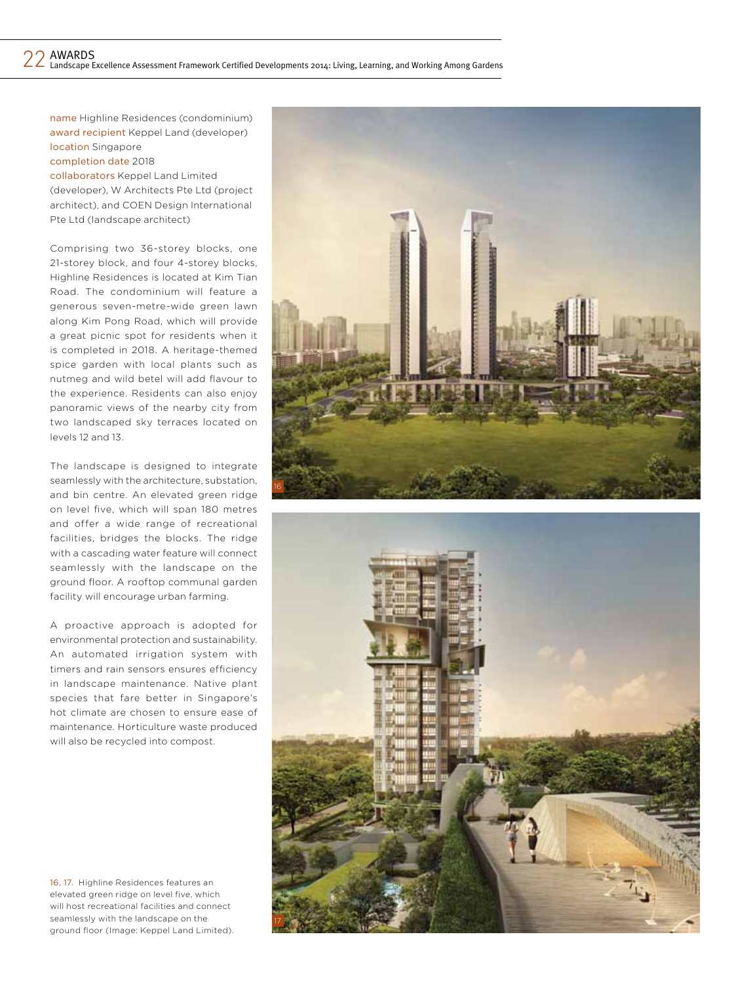name Highline Residences (condominium) award recipient Keppel Land (developer) location Singapore completion date 2018

collaborators Keppel Land Limited (developer), W Architects Pte Ltd (project architect), and COEN Design International Pte Ltd (landscape architect)

Comprising two 36-storey blocks, one 21-storey block, and four 4-storey blocks, Highline Residences is located at Kim Tian Road. The condominium will feature a generous seven-metre-wide green lawn along Kim Pong Road, which will provide a great picnic spot for residents when it is completed in 2018. A heritage-themed spice garden with local plants such as nutmeg and wild betel will add flavour to the experience. Residents can also enjoy panoramic views of the nearby city from two landscaped sky terraces located on levels 12 and 13.

The landscape is designed to integrate seamlessly with the architecture, substation, and bin centre. An elevated green ridge on level five, which will span 180 metres and offer a wide range of recreational facilities, bridges the blocks. The ridge with a cascading water feature will connect seamlessly with the landscape on the ground floor. A rooftop communal garden facility will encourage urban farming.

A proactive approach is adopted for environmental protection and sustainability. An automated irrigation system with timers and rain sensors ensures efficiency in landscape maintenance. Native plant species that fare better in Singapore's hot climate are chosen to ensure ease of maintenance. Horticulture waste produced will also be recycled into compost.

16, 17. Highline Residences features an elevated green ridge on level five, which will host recreational facilities and connect seamlessly with the landscape on the ground floor (Image: Keppel Land Limited).



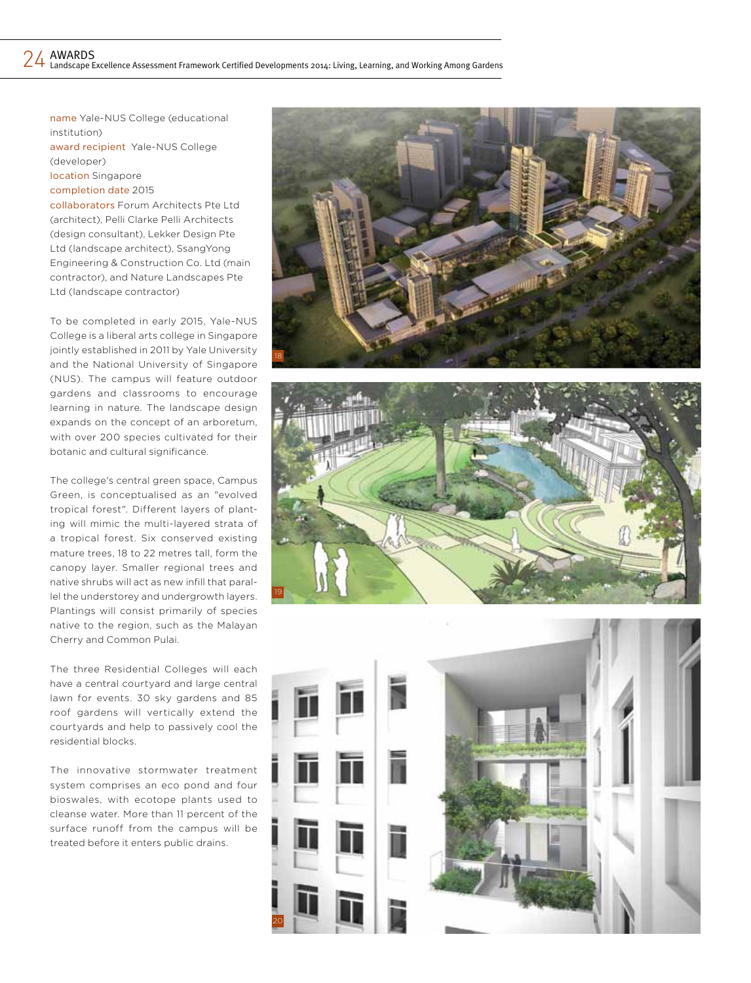name Yale-NUS College (educational institution) award recipient Yale-NUS College (developer) location Singapore completion date 2015 collaborators Forum Architects Pte Ltd

(architect), Pelli Clarke Pelli Architects (design consultant), Lekker Design Pte Ltd (landscape architect), SsangYong Engineering & Construction Co. Ltd (main contractor), and Nature Landscapes Pte Ltd (landscape contractor)

To be completed in early 2015, Yale-NUS College is a liberal arts college in Singapore jointly established in 2011 by Yale University and the National University of Singapore (NUS). The campus will feature outdoor gardens and classrooms to encourage learning in nature. The landscape design expands on the concept of an arboretum, with over 200 species cultivated for their botanic and cultural significance.

The college's central green space, Campus Green, is conceptualised as an "evolved tropical forest". Different layers of planting will mimic the multi-layered strata of a tropical forest. Six conserved existing mature trees, 18 to 22 metres tall, form the canopy layer. Smaller regional trees and native shrubs will act as new infill that parallel the understorey and undergrowth layers. Plantings will consist primarily of species native to the region, such as the Malayan Cherry and Common Pulai.

The three Residential Colleges will each have a central courtyard and large central lawn for events. 30 sky gardens and 85 roof gardens will vertically extend the courtyards and help to passively cool the residential blocks.

The innovative stormwater treatment system comprises an eco pond and four bioswales, with ecotope plants used to cleanse water. More than 11 percent of the surface runoff from the campus will be treated before it enters public drains.